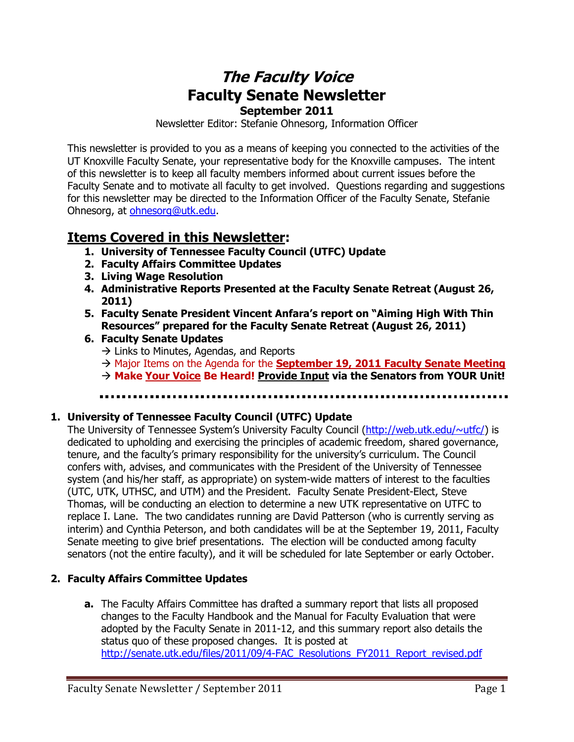# **The Faculty Voice Faculty Senate Newsletter September 2011**

Newsletter Editor: Stefanie Ohnesorg, Information Officer

This newsletter is provided to you as a means of keeping you connected to the activities of the UT Knoxville Faculty Senate, your representative body for the Knoxville campuses. The intent of this newsletter is to keep all faculty members informed about current issues before the Faculty Senate and to motivate all faculty to get involved. Questions regarding and suggestions for this newsletter may be directed to the Information Officer of the Faculty Senate, Stefanie Ohnesorg, at [ohnesorg@utk.edu.](mailto:ohnesorg@utk.edu)

# **Items Covered in this Newsletter:**

- **1. University of Tennessee Faculty Council (UTFC) Update**
- **2. Faculty Affairs Committee Updates**
- **3. Living Wage Resolution**
- **4. Administrative Reports Presented at the Faculty Senate Retreat (August 26, 2011)**
- **5. Faculty Senate President Vincent Anfara's report on "Aiming High With Thin Resources" prepared for the Faculty Senate Retreat (August 26, 2011)**

## **6. Faculty Senate Updates**

- $\rightarrow$  Links to Minutes, Agendas, and Reports
- $\rightarrow$  Major Items on the Agenda for the **September 19, 2011 Faculty Senate Meeting**
- **Make Your Voice Be Heard! Provide Input via the Senators from YOUR Unit!**

### **1. University of Tennessee Faculty Council (UTFC) Update**

The University of Tennessee System's University Faculty Council ([http://web.utk.edu/~utfc/\)](http://web.utk.edu/~utfc/) is dedicated to upholding and exercising the principles of academic freedom, shared governance, tenure, and the faculty's primary responsibility for the university's curriculum. The Council confers with, advises, and communicates with the President of the University of Tennessee system (and his/her staff, as appropriate) on system-wide matters of interest to the faculties (UTC, UTK, UTHSC, and UTM) and the President. Faculty Senate President-Elect, Steve Thomas, will be conducting an election to determine a new UTK representative on UTFC to replace I. Lane. The two candidates running are David Patterson (who is currently serving as interim) and Cynthia Peterson, and both candidates will be at the September 19, 2011, Faculty Senate meeting to give brief presentations. The election will be conducted among faculty senators (not the entire faculty), and it will be scheduled for late September or early October.

## **2. Faculty Affairs Committee Updates**

**a.** The Faculty Affairs Committee has drafted a summary report that lists all proposed changes to the Faculty Handbook and the Manual for Faculty Evaluation that [were](../AppData/Local/Microsoft/Windows/Temporary%20Internet%20Files/Content.Outlook/H61Z57QO/were) adopted by the Faculty Senate in 2011-12, and this summary report also details the status quo of these proposed changes. It is posted at [http://senate.utk.edu/files/2011/09/4-FAC\\_Resolutions\\_FY2011\\_Report\\_revised.pdf](http://senate.utk.edu/files/2011/09/4-FAC_Resolutions_FY2011_Report_revised.pdf)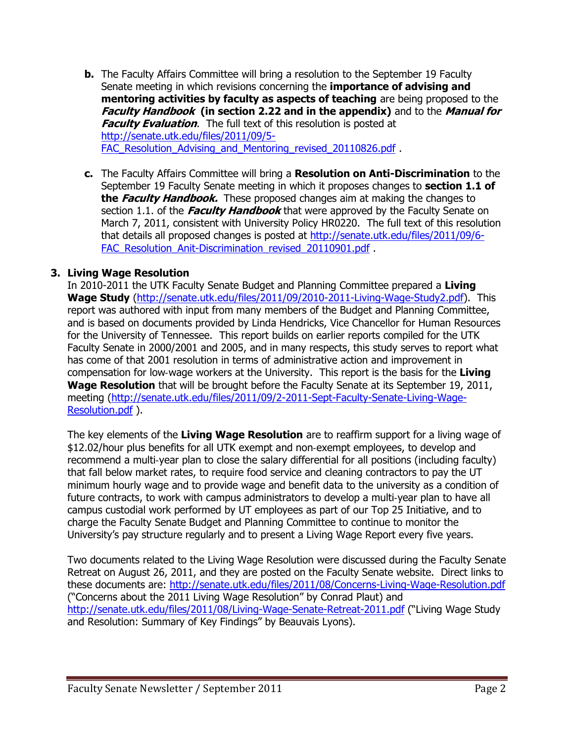- **b.** The Faculty Affairs Committee will bring a resolution to the September 19 Faculty Senate meeting in which revisions concerning the **importance of advising and mentoring activities by faculty as aspects of teaching** are being proposed to the **Faculty Handbook (in section 2.22 and in the appendix)** and to the **Manual for Faculty Evaluation.** The full text of this resolution is posted at [http://senate.utk.edu/files/2011/09/5-](http://senate.utk.edu/files/2011/09/5-FAC_Resolution_Advising_and_Mentoring_revised_20110826.pdf) FAC Resolution Advising and Mentoring revised 20110826.pdf.
- **c.** The Faculty Affairs Committee will bring a **Resolution on Anti-Discrimination** to the September 19 Faculty Senate meeting in which it proposes changes to **section 1.1 of the Faculty Handbook.** These proposed changes aim at making the changes to section 1.1. of the **Faculty Handbook** that were approved by the Faculty Senate on March 7, 2011, consistent with University Policy HR0220. The full text of this resolution that details all proposed changes is posted at [http://senate.utk.edu/files/2011/09/6-](http://senate.utk.edu/files/2011/09/6-FAC_Resolution_Anit-Discrimination_revised_20110901.pdf) FAC Resolution Anit-Discrimination revised 20110901.pdf

#### **3. Living Wage Resolution**

In 2010-2011 the UTK Faculty Senate Budget and Planning Committee prepared a **Living Wage Study** [\(http://senate.utk.edu/files/2011/09/2010-2011-Living-Wage-Study2.pdf\)](http://senate.utk.edu/files/2011/09/2010-2011-Living-Wage-Study2.pdf). This report was authored with input from many members of the Budget and Planning Committee, and is based on documents provided by Linda Hendricks, Vice Chancellor for Human Resources for the University of Tennessee. This report builds on earlier reports compiled for the UTK Faculty Senate in 2000/2001 and 2005, and in many respects, this study serves to report what has come of that 2001 resolution in terms of administrative action and improvement in compensation for low‐wage workers at the University. This report is the basis for the **Living Wage Resolution** that will be brought before the Faculty Senate at its September 19, 2011, meeting [\(http://senate.utk.edu/files/2011/09/2-2011-Sept-Faculty-Senate-Living-Wage-](http://senate.utk.edu/files/2011/09/2-2011-Sept-Faculty-Senate-Living-Wage-Resolution.pdf)[Resolution.pdf](http://senate.utk.edu/files/2011/09/2-2011-Sept-Faculty-Senate-Living-Wage-Resolution.pdf) ).

The key elements of the **Living Wage Resolution** are to reaffirm support for a living wage of \$12.02/hour plus benefits for all UTK exempt and non‐exempt employees, to develop and recommend a multi‐year plan to close the salary differential for all positions (including faculty) that fall below market rates, to require food service and cleaning contractors to pay the UT minimum hourly wage and to provide wage and benefit data to the university as a condition of future contracts, to work with campus administrators to develop a multi-year plan to have all campus custodial work performed by UT employees as part of our Top 25 Initiative, and to charge the Faculty Senate Budget and Planning Committee to continue to monitor the University's pay structure regularly and to present a Living Wage Report every five years.

Two documents related to the Living Wage Resolution were discussed during the Faculty Senate Retreat on August 26, 2011, and they are posted on the Faculty Senate website. Direct links to these documents are:<http://senate.utk.edu/files/2011/08/Concerns-Living-Wage-Resolution.pdf> ("Concerns about the 2011 Living Wage Resolution" by Conrad Plaut) and <http://senate.utk.edu/files/2011/08/Living-Wage-Senate-Retreat-2011.pdf> ("Living Wage Study and Resolution: Summary of Key Findings" by Beauvais Lyons).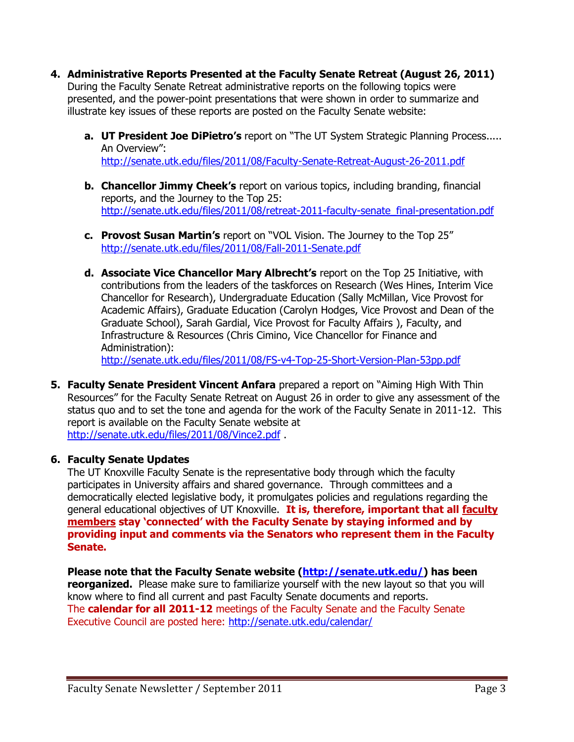- **4. Administrative Reports Presented at the Faculty Senate Retreat (August 26, 2011)** During the Faculty Senate Retreat administrative reports on the following topics were presented, and the power-point presentations that were shown in order to summarize and illustrate key issues of these reports are posted on the Faculty Senate website:
	- **a. UT President Joe DiPietro's** report on "The UT System Strategic Planning Process..... An Overview": <http://senate.utk.edu/files/2011/08/Faculty-Senate-Retreat-August-26-2011.pdf>
	- **b. Chancellor Jimmy Cheek's** report on various topics, including branding, financial reports, and the Journey to the Top 25: [http://senate.utk.edu/files/2011/08/retreat-2011-faculty-senate\\_final-presentation.pdf](http://senate.utk.edu/files/2011/08/retreat-2011-faculty-senate_final-presentation.pdf)
	- **c. Provost Susan Martin's** report on "VOL Vision. The Journey to the Top 25" <http://senate.utk.edu/files/2011/08/Fall-2011-Senate.pdf>
	- **d. Associate Vice Chancellor Mary Albrecht's** report on the Top 25 Initiative, with contributions from the leaders of the taskforces on Research (Wes Hines, Interim Vice Chancellor for Research), Undergraduate Education (Sally McMillan, Vice Provost for Academic Affairs), Graduate Education (Carolyn Hodges, Vice Provost and Dean of the Graduate School), Sarah Gardial, Vice Provost for Faculty Affairs ), Faculty, and Infrastructure & Resources (Chris Cimino, Vice Chancellor for Finance and Administration):

<http://senate.utk.edu/files/2011/08/FS-v4-Top-25-Short-Version-Plan-53pp.pdf>

**5. Faculty Senate President Vincent Anfara** prepared a report on "Aiming High With Thin Resources" for the Faculty Senate Retreat on August 26 in order to give any assessment of the status quo and to set the tone and agenda for the work of the Faculty Senate in 2011-12. This report is available on the Faculty Senate website at <http://senate.utk.edu/files/2011/08/Vince2.pdf> .

#### **6. Faculty Senate Updates**

The UT Knoxville Faculty Senate is the representative body through which the faculty participates in University affairs and shared governance. Through committees and a democratically elected legislative body, it promulgates policies and regulations regarding the general educational objectives of UT Knoxville. **It is, therefore, important that all faculty members stay 'connected' with the Faculty Senate by staying informed and by providing input and comments via the Senators who represent them in the Faculty Senate.**

**Please note that the Faculty Senate website [\(http://senate.utk.edu/\)](http://senate.utk.edu/) has been reorganized.** Please make sure to familiarize yourself with the new layout so that you will know where to find all current and past Faculty Senate documents and reports. The **calendar for all 2011-12** meetings of the Faculty Senate and the Faculty Senate Executive Council are posted here:<http://senate.utk.edu/calendar/>